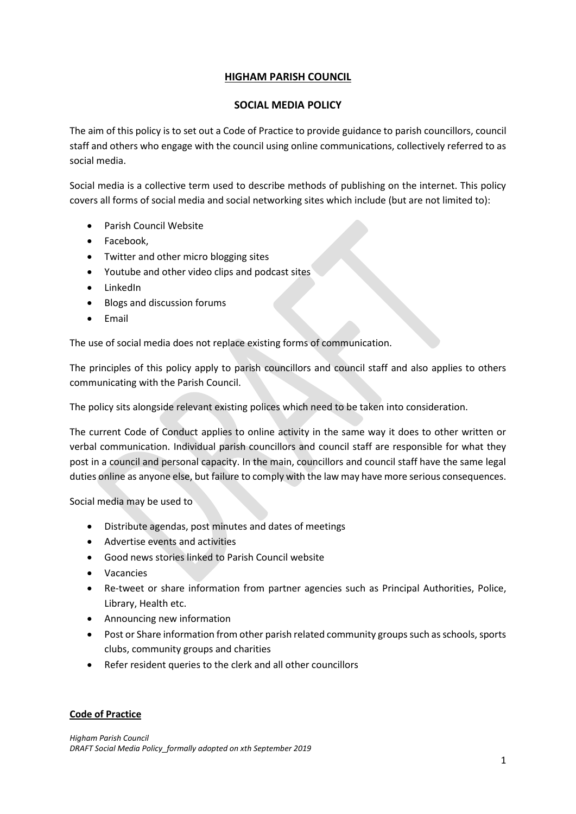## **HIGHAM PARISH COUNCIL**

## **SOCIAL MEDIA POLICY**

The aim of this policy is to set out a Code of Practice to provide guidance to parish councillors, council staff and others who engage with the council using online communications, collectively referred to as social media.

Social media is a collective term used to describe methods of publishing on the internet. This policy covers all forms of social media and social networking sites which include (but are not limited to):

- Parish Council Website
- Facebook,
- Twitter and other micro blogging sites
- Youtube and other video clips and podcast sites
- LinkedIn
- Blogs and discussion forums
- Email

The use of social media does not replace existing forms of communication.

The principles of this policy apply to parish councillors and council staff and also applies to others communicating with the Parish Council.

The policy sits alongside relevant existing polices which need to be taken into consideration.

The current Code of Conduct applies to online activity in the same way it does to other written or verbal communication. Individual parish councillors and council staff are responsible for what they post in a council and personal capacity. In the main, councillors and council staff have the same legal duties online as anyone else, but failure to comply with the law may have more serious consequences.

Social media may be used to

- Distribute agendas, post minutes and dates of meetings
- Advertise events and activities
- Good news stories linked to Parish Council website
- Vacancies
- Re-tweet or share information from partner agencies such as Principal Authorities, Police, Library, Health etc.
- Announcing new information
- Post or Share information from other parish related community groups such as schools, sports clubs, community groups and charities
- Refer resident queries to the clerk and all other councillors

## **Code of Practice**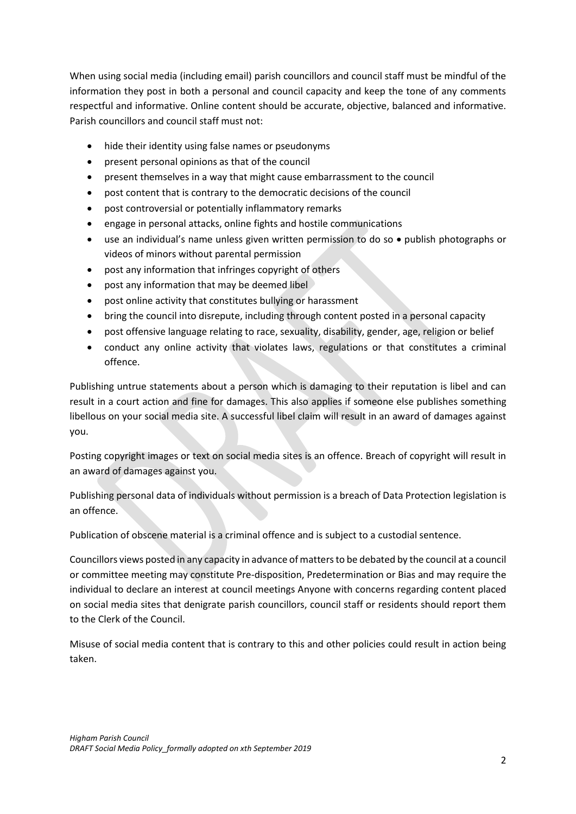When using social media (including email) parish councillors and council staff must be mindful of the information they post in both a personal and council capacity and keep the tone of any comments respectful and informative. Online content should be accurate, objective, balanced and informative. Parish councillors and council staff must not:

- hide their identity using false names or pseudonyms
- present personal opinions as that of the council
- present themselves in a way that might cause embarrassment to the council
- post content that is contrary to the democratic decisions of the council
- post controversial or potentially inflammatory remarks
- engage in personal attacks, online fights and hostile communications
- use an individual's name unless given written permission to do so publish photographs or videos of minors without parental permission
- post any information that infringes copyright of others
- post any information that may be deemed libel
- post online activity that constitutes bullying or harassment
- bring the council into disrepute, including through content posted in a personal capacity
- post offensive language relating to race, sexuality, disability, gender, age, religion or belief
- conduct any online activity that violates laws, regulations or that constitutes a criminal offence.

Publishing untrue statements about a person which is damaging to their reputation is libel and can result in a court action and fine for damages. This also applies if someone else publishes something libellous on your social media site. A successful libel claim will result in an award of damages against you.

Posting copyright images or text on social media sites is an offence. Breach of copyright will result in an award of damages against you.

Publishing personal data of individuals without permission is a breach of Data Protection legislation is an offence.

Publication of obscene material is a criminal offence and is subject to a custodial sentence.

Councillors views posted in any capacity in advance of matters to be debated by the council at a council or committee meeting may constitute Pre-disposition, Predetermination or Bias and may require the individual to declare an interest at council meetings Anyone with concerns regarding content placed on social media sites that denigrate parish councillors, council staff or residents should report them to the Clerk of the Council.

Misuse of social media content that is contrary to this and other policies could result in action being taken.